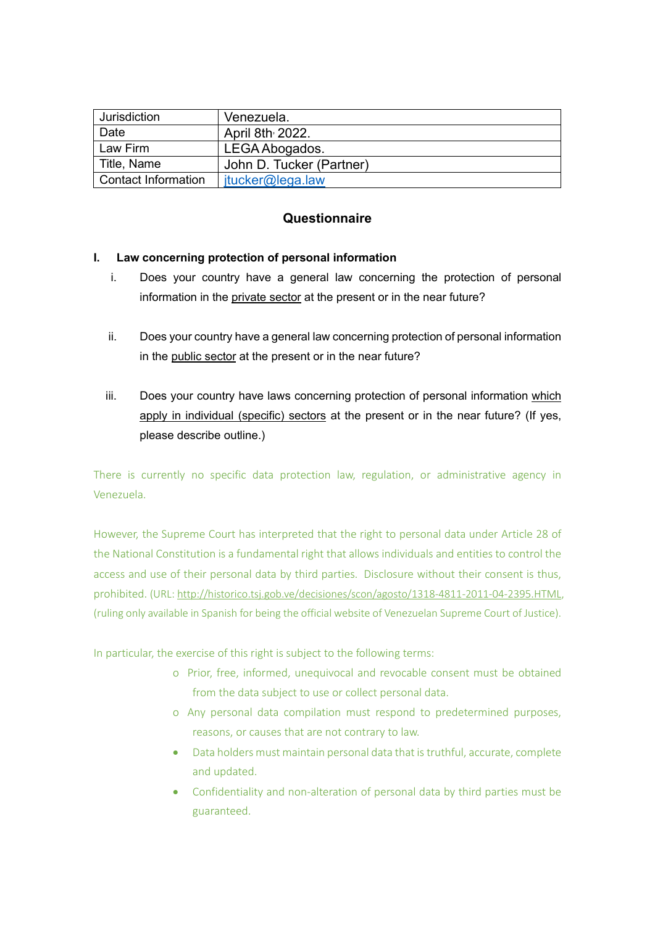| Jurisdiction               | Venezuela.               |
|----------------------------|--------------------------|
| Date                       | April 8th 2022.          |
| Law Firm                   | LEGA Abogados.           |
| Title, Name                | John D. Tucker (Partner) |
| <b>Contact Information</b> | $itucker@$ lega.law      |

# **Questionnaire**

## **I. Law concerning protection of personal information**

- i. Does your country have a general law concerning the protection of personal information in the private sector at the present or in the near future?
- ii. Does your country have a general law concerning protection of personal information in the public sector at the present or in the near future?
- iii. Does your country have laws concerning protection of personal information which apply in individual (specific) sectors at the present or in the near future? (If yes, please describe outline.)

There is currently no specific data protection law, regulation, or administrative agency in Venezuela.

However, the Supreme Court has interpreted that the right to personal data under Article 28 of the National Constitution is a fundamental right that allows individuals and entities to control the access and use of their personal data by third parties. Disclosure without their consent is thus, prohibited. (URL: [http://historico.tsj.gob.ve/decisiones/scon/agosto/1318-4811-2011-04-2395.HTML,](http://historico.tsj.gob.ve/decisiones/scon/agosto/1318-4811-2011-04-2395.HTML) (ruling only available in Spanish for being the official website of Venezuelan Supreme Court of Justice).

In particular, the exercise of this right is subject to the following terms:

- o Prior, free, informed, unequivocal and revocable consent must be obtained from the data subject to use or collect personal data.
- o Any personal data compilation must respond to predetermined purposes, reasons, or causes that are not contrary to law.
- Data holders must maintain personal data that is truthful, accurate, complete and updated.
- Confidentiality and non-alteration of personal data by third parties must be guaranteed.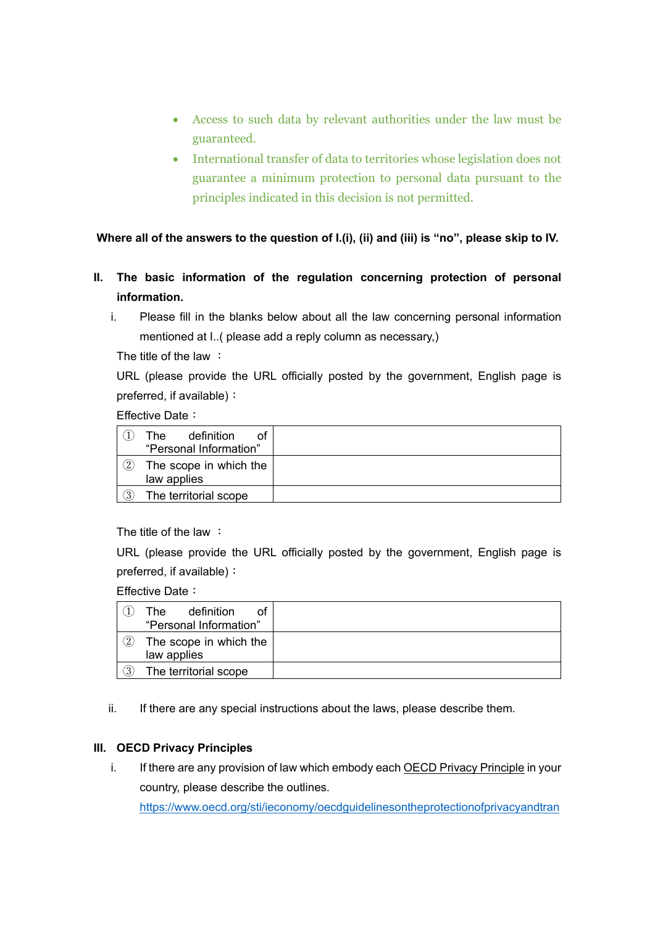- Access to such data by relevant authorities under the law must be guaranteed.
- International transfer of data to territories whose legislation does not guarantee a minimum protection to personal data pursuant to the principles indicated in this decision is not permitted.

**Where all of the answers to the question of I.(i), (ii) and (iii) is "no", please skip to IV.**

- **II. The basic information of the regulation concerning protection of personal information.**
	- i. Please fill in the blanks below about all the law concerning personal information mentioned at I..( please add a reply column as necessary,)

The title of the law :

URL (please provide the URL officially posted by the government, English page is preferred, if available):

Effective Date:

|                   | definition<br>The<br>ot<br>"Personal Information" |  |
|-------------------|---------------------------------------------------|--|
| $\left( 2\right)$ | The scope in which the<br>law applies             |  |
| (3)               | The territorial scope                             |  |

The title of the law :

URL (please provide the URL officially posted by the government, English page is preferred, if available):

Effective Date:

|    | definition<br>The:<br>Ωf<br>"Personal Information" |  |
|----|----------------------------------------------------|--|
| 2) | The scope in which the<br>law applies              |  |
| 3) | The territorial scope                              |  |

ii. If there are any special instructions about the laws, please describe them.

#### **III. OECD Privacy Principles**

i. If there are any provision of law which embody each OECD Privacy Principle in your country, please describe the outlines. [https://www.oecd.org/sti/ieconomy/oecdguidelinesontheprotectionofprivacyandtran](https://www.oecd.org/sti/ieconomy/oecdguidelinesontheprotectionofprivacyandtransborderflowsofpersonaldata.htm)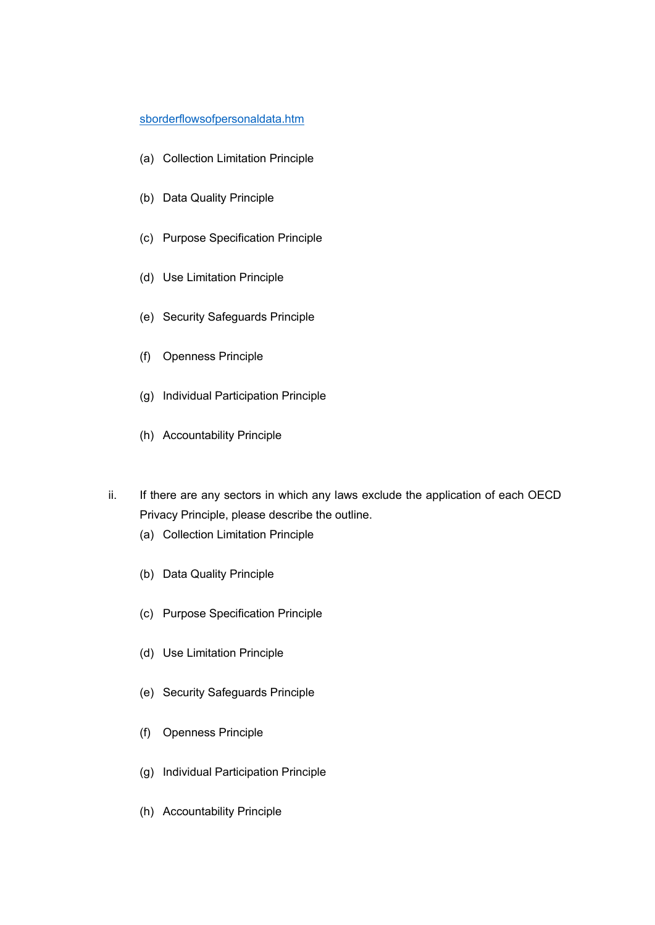#### [sborderflowsofpersonaldata.htm](https://www.oecd.org/sti/ieconomy/oecdguidelinesontheprotectionofprivacyandtransborderflowsofpersonaldata.htm)

- (a) Collection Limitation Principle
- (b) Data Quality Principle
- (c) Purpose Specification Principle
- (d) Use Limitation Principle
- (e) Security Safeguards Principle
- (f) Openness Principle
- (g) Individual Participation Principle
- (h) Accountability Principle
- ii. If there are any sectors in which any laws exclude the application of each OECD Privacy Principle, please describe the outline.
	- (a) Collection Limitation Principle
	- (b) Data Quality Principle
	- (c) Purpose Specification Principle
	- (d) Use Limitation Principle
	- (e) Security Safeguards Principle
	- (f) Openness Principle
	- (g) Individual Participation Principle
	- (h) Accountability Principle